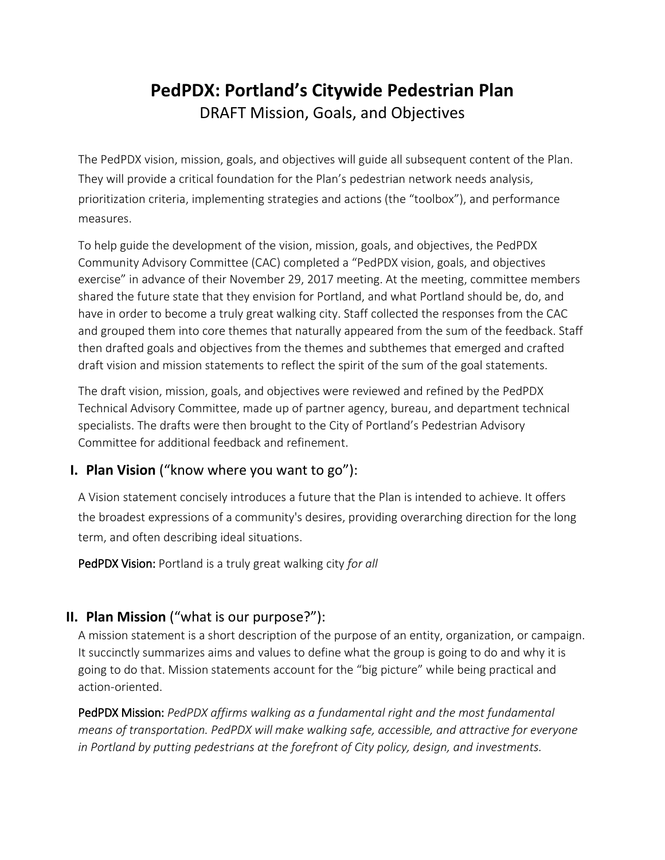# **PedPDX: Portland's Citywide Pedestrian Plan** DRAFT Mission, Goals, and Objectives

The PedPDX vision, mission, goals, and objectives will guide all subsequent content of the Plan. They will provide a critical foundation for the Plan's pedestrian network needs analysis, prioritization criteria, implementing strategies and actions (the "toolbox"), and performance measures.

To help guide the development of the vision, mission, goals, and objectives, the PedPDX Community Advisory Committee (CAC) completed a "PedPDX vision, goals, and objectives exercise" in advance of their November 29, 2017 meeting. At the meeting, committee members shared the future state that they envision for Portland, and what Portland should be, do, and have in order to become a truly great walking city. Staff collected the responses from the CAC and grouped them into core themes that naturally appeared from the sum of the feedback. Staff then drafted goals and objectives from the themes and subthemes that emerged and crafted draft vision and mission statements to reflect the spirit of the sum of the goal statements.

The draft vision, mission, goals, and objectives were reviewed and refined by the PedPDX Technical Advisory Committee, made up of partner agency, bureau, and department technical specialists. The drafts were then brought to the City of Portland's Pedestrian Advisory Committee for additional feedback and refinement.

## **I. Plan Vision** ("know where you want to go"):

A Vision statement concisely introduces a future that the Plan is intended to achieve. It offers the broadest expressions of a community's desires, providing overarching direction for the long term, and often describing ideal situations.

PedPDX Vision: Portland is a truly great walking city *for all*

## **II. Plan Mission** ("what is our purpose?"):

A mission statement is a short description of the purpose of an entity, organization, or campaign. It succinctly summarizes aims and values to define what the group is going to do and why it is going to do that. Mission statements account for the "big picture" while being practical and action-oriented.

PedPDX Mission: *PedPDX affirms walking as a fundamental right and the most fundamental means of transportation. PedPDX will make walking safe, accessible, and attractive for everyone in Portland by putting pedestrians at the forefront of City policy, design, and investments.*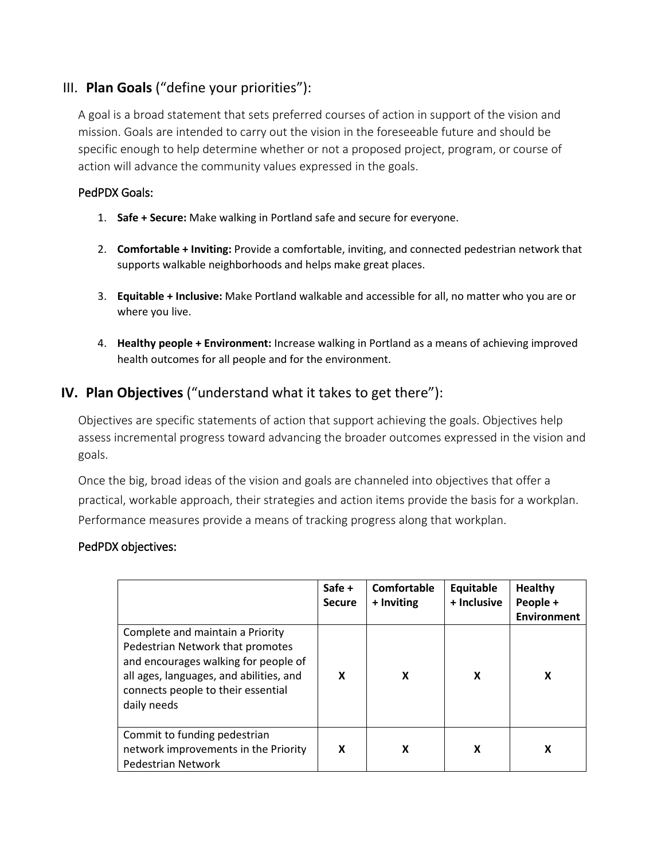# III. **Plan Goals** ("define your priorities"):

A goal is a broad statement that sets preferred courses of action in support of the vision and mission. Goals are intended to carry out the vision in the foreseeable future and should be specific enough to help determine whether or not a proposed project, program, or course of action will advance the community values expressed in the goals.

#### PedPDX Goals:

- 1. **Safe + Secure:** Make walking in Portland safe and secure for everyone.
- 2. **Comfortable + Inviting:** Provide a comfortable, inviting, and connected pedestrian network that supports walkable neighborhoods and helps make great places.
- 3. **Equitable + Inclusive:** Make Portland walkable and accessible for all, no matter who you are or where you live.
- 4. **Healthy people + Environment:** Increase walking in Portland as a means of achieving improved health outcomes for all people and for the environment.

# **IV. Plan Objectives** ("understand what it takes to get there"):

Objectives are specific statements of action that support achieving the goals. Objectives help assess incremental progress toward advancing the broader outcomes expressed in the vision and goals.

Once the big, broad ideas of the vision and goals are channeled into objectives that offer a practical, workable approach, their strategies and action items provide the basis for a workplan. Performance measures provide a means of tracking progress along that workplan.

#### PedPDX objectives:

|                                                                                                                                                                                                              | Safe +<br><b>Secure</b> | Comfortable<br>+ Inviting | Equitable<br>+ Inclusive | <b>Healthy</b><br>People +<br><b>Environment</b> |
|--------------------------------------------------------------------------------------------------------------------------------------------------------------------------------------------------------------|-------------------------|---------------------------|--------------------------|--------------------------------------------------|
| Complete and maintain a Priority<br>Pedestrian Network that promotes<br>and encourages walking for people of<br>all ages, languages, and abilities, and<br>connects people to their essential<br>daily needs | X                       | x                         | x                        | X                                                |
| Commit to funding pedestrian<br>network improvements in the Priority<br>Pedestrian Network                                                                                                                   | X                       | x                         | x                        | X                                                |